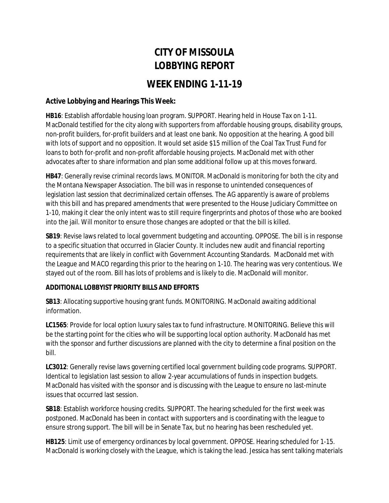## **CITY OF MISSOULA LOBBYING REPORT**

## **WEEK ENDING 1-11-19**

## **Active Lobbying and Hearings This Week:**

**HB16**: Establish affordable housing loan program. SUPPORT. Hearing held in House Tax on 1-11. MacDonald testified for the city along with supporters from affordable housing groups, disability groups, non-profit builders, for-profit builders and at least one bank. No opposition at the hearing. A good bill with lots of support and no opposition. It would set aside \$15 million of the Coal Tax Trust Fund for loans to both for-profit and non-profit affordable housing projects. MacDonald met with other advocates after to share information and plan some additional follow up at this moves forward.

**HB47**: Generally revise criminal records laws. MONITOR. MacDonald is monitoring for both the city and the Montana Newspaper Association. The bill was in response to unintended consequences of legislation last session that decriminalized certain offenses. The AG apparently is aware of problems with this bill and has prepared amendments that were presented to the House Judiciary Committee on 1-10, making it clear the only intent was to still require fingerprints and photos of those who are booked into the jail. Will monitor to ensure those changes are adopted or that the bill is killed.

**SB19**: Revise laws related to local government budgeting and accounting. OPPOSE. The bill is in response to a specific situation that occurred in Glacier County. It includes new audit and financial reporting requirements that are likely in conflict with Government Accounting Standards. MacDonald met with the League and MACO regarding this prior to the hearing on 1-10. The hearing was very contentious. We stayed out of the room. Bill has lots of problems and is likely to die. MacDonald will monitor.

## **ADDITIONAL LOBBYIST PRIORITY BILLS AND EFFORTS**

**SB13**: Allocating supportive housing grant funds. MONITORING. MacDonald awaiting additional information.

**LC1565**: Provide for local option luxury sales tax to fund infrastructure. MONITORING. Believe this will be the starting point for the cities who will be supporting local option authority. MacDonald has met with the sponsor and further discussions are planned with the city to determine a final position on the bill.

**LC3012**: Generally revise laws governing certified local government building code programs. SUPPORT. Identical to legislation last session to allow 2-year accumulations of funds in inspection budgets. MacDonald has visited with the sponsor and is discussing with the League to ensure no last-minute issues that occurred last session.

**SB18**: Establish workforce housing credits. SUPPORT. The hearing scheduled for the first week was postponed. MacDonald has been in contact with supporters and is coordinating with the league to ensure strong support. The bill will be in Senate Tax, but no hearing has been rescheduled yet.

**HB125**: Limit use of emergency ordinances by local government. OPPOSE. Hearing scheduled for 1-15. MacDonald is working closely with the League, which is taking the lead. Jessica has sent talking materials